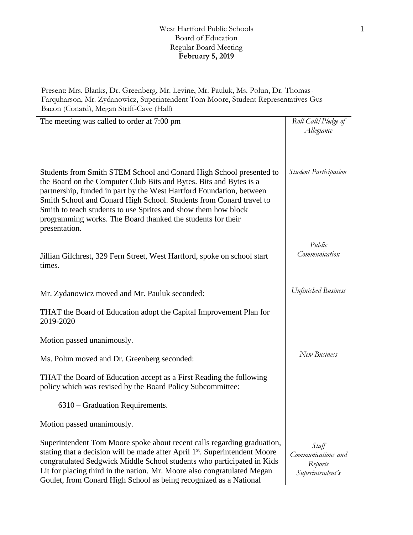## West Hartford Public Schools Board of Education Regular Board Meeting **February 5, 2019**

Present: Mrs. Blanks, Dr. Greenberg, Mr. Levine, Mr. Pauluk, Ms. Polun, Dr. Thomas-Farquharson, Mr. Zydanowicz, Superintendent Tom Moore, Student Representatives Gus Bacon (Conard), Megan Striff-Cave (Hall)

| The meeting was called to order at 7:00 pm                                                                                                                                                                                                                                                                                                                                                                                                 | Roll Call/Pledge of<br>Allegiance                          |
|--------------------------------------------------------------------------------------------------------------------------------------------------------------------------------------------------------------------------------------------------------------------------------------------------------------------------------------------------------------------------------------------------------------------------------------------|------------------------------------------------------------|
|                                                                                                                                                                                                                                                                                                                                                                                                                                            |                                                            |
|                                                                                                                                                                                                                                                                                                                                                                                                                                            |                                                            |
| Students from Smith STEM School and Conard High School presented to<br>the Board on the Computer Club Bits and Bytes. Bits and Bytes is a<br>partnership, funded in part by the West Hartford Foundation, between<br>Smith School and Conard High School. Students from Conard travel to<br>Smith to teach students to use Sprites and show them how block<br>programming works. The Board thanked the students for their<br>presentation. | <b>Student Participation</b>                               |
| Jillian Gilchrest, 329 Fern Street, West Hartford, spoke on school start<br>times.                                                                                                                                                                                                                                                                                                                                                         | Public<br>Communication                                    |
| Mr. Zydanowicz moved and Mr. Pauluk seconded:                                                                                                                                                                                                                                                                                                                                                                                              | <b>Unfinished Business</b>                                 |
| THAT the Board of Education adopt the Capital Improvement Plan for<br>2019-2020                                                                                                                                                                                                                                                                                                                                                            |                                                            |
| Motion passed unanimously.                                                                                                                                                                                                                                                                                                                                                                                                                 |                                                            |
| Ms. Polun moved and Dr. Greenberg seconded:                                                                                                                                                                                                                                                                                                                                                                                                | New Business                                               |
| THAT the Board of Education accept as a First Reading the following<br>policy which was revised by the Board Policy Subcommittee:                                                                                                                                                                                                                                                                                                          |                                                            |
| 6310 – Graduation Requirements.                                                                                                                                                                                                                                                                                                                                                                                                            |                                                            |
| Motion passed unanimously.                                                                                                                                                                                                                                                                                                                                                                                                                 |                                                            |
| Superintendent Tom Moore spoke about recent calls regarding graduation,<br>stating that a decision will be made after April 1 <sup>st</sup> . Superintendent Moore<br>congratulated Sedgwick Middle School students who participated in Kids<br>Lit for placing third in the nation. Mr. Moore also congratulated Megan<br>Goulet, from Conard High School as being recognized as a National                                               | Staff<br>Communications and<br>Reports<br>Superintendent's |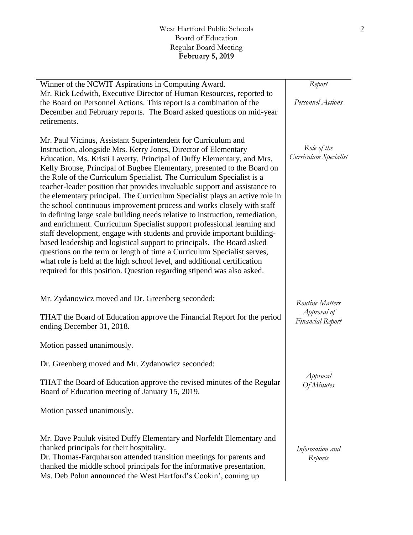Winner of the NCWIT Aspirations in Computing Award. Mr. Rick Ledwith, Executive Director of Human Resources, reported to the Board on Personnel Actions. This report is a combination of the December and February reports. The Board asked questions on mid-year retirements. Mr. Paul Vicinus, Assistant Superintendent for Curriculum and Instruction, alongside Mrs. Kerry Jones, Director of Elementary Education, Ms. Kristi Laverty, Principal of Duffy Elementary, and Mrs. Kelly Brouse, Principal of Bugbee Elementary, presented to the Board on the Role of the Curriculum Specialist. The Curriculum Specialist is a teacher-leader position that provides invaluable support and assistance to the elementary principal. The Curriculum Specialist plays an active role in the school continuous improvement process and works closely with staff in defining large scale building needs relative to instruction, remediation, and enrichment. Curriculum Specialist support professional learning and staff development, engage with students and provide important buildingbased leadership and logistical support to principals. The Board asked questions on the term or length of time a Curriculum Specialist serves, what role is held at the high school level, and additional certification required for this position. Question regarding stipend was also asked. Mr. Zydanowicz moved and Dr. Greenberg seconded: THAT the Board of Education approve the Financial Report for the period ending December 31, 2018. Motion passed unanimously. Dr. Greenberg moved and Mr. Zydanowicz seconded: THAT the Board of Education approve the revised minutes of the Regular Board of Education meeting of January 15, 2019. Motion passed unanimously. Mr. Dave Pauluk visited Duffy Elementary and Norfeldt Elementary and thanked principals for their hospitality. Dr. Thomas-Farquharson attended transition meetings for parents and thanked the middle school principals for the informative presentation. Ms. Deb Polun announced the West Hartford's Cookin', coming up *Report Personnel Actions Role of the Curriculum Specialist Routine Matters Approval of Financial Report Approval Of Minutes Information and Reports*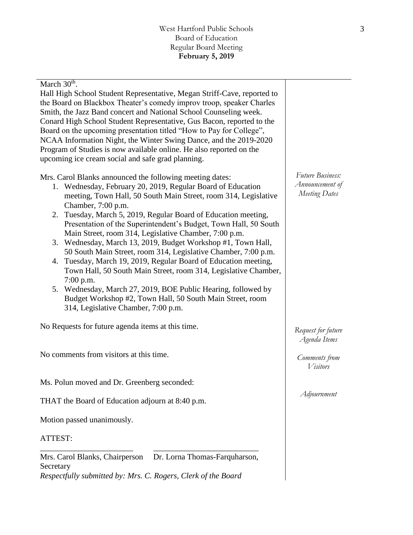| March 30 <sup>th</sup> .<br>Hall High School Student Representative, Megan Striff-Cave, reported to<br>the Board on Blackbox Theater's comedy improv troop, speaker Charles<br>Smith, the Jazz Band concert and National School Counseling week.<br>Conard High School Student Representative, Gus Bacon, reported to the<br>Board on the upcoming presentation titled "How to Pay for College",                                                                                                                                                                                                                                                                                                                                                                                                                                                                          |                                                                    |
|---------------------------------------------------------------------------------------------------------------------------------------------------------------------------------------------------------------------------------------------------------------------------------------------------------------------------------------------------------------------------------------------------------------------------------------------------------------------------------------------------------------------------------------------------------------------------------------------------------------------------------------------------------------------------------------------------------------------------------------------------------------------------------------------------------------------------------------------------------------------------|--------------------------------------------------------------------|
| NCAA Information Night, the Winter Swing Dance, and the 2019-2020<br>Program of Studies is now available online. He also reported on the<br>upcoming ice cream social and safe grad planning.                                                                                                                                                                                                                                                                                                                                                                                                                                                                                                                                                                                                                                                                             |                                                                    |
| Mrs. Carol Blanks announced the following meeting dates:<br>1. Wednesday, February 20, 2019, Regular Board of Education<br>meeting, Town Hall, 50 South Main Street, room 314, Legislative<br>Chamber, 7:00 p.m.<br>2. Tuesday, March 5, 2019, Regular Board of Education meeting,<br>Presentation of the Superintendent's Budget, Town Hall, 50 South<br>Main Street, room 314, Legislative Chamber, 7:00 p.m.<br>3. Wednesday, March 13, 2019, Budget Workshop #1, Town Hall,<br>50 South Main Street, room 314, Legislative Chamber, 7:00 p.m.<br>4. Tuesday, March 19, 2019, Regular Board of Education meeting,<br>Town Hall, 50 South Main Street, room 314, Legislative Chamber,<br>7:00 p.m.<br>5. Wednesday, March 27, 2019, BOE Public Hearing, followed by<br>Budget Workshop #2, Town Hall, 50 South Main Street, room<br>314, Legislative Chamber, 7:00 p.m. | <b>Future Business:</b><br>Announcement of<br><b>Meeting Dates</b> |
| No Requests for future agenda items at this time.                                                                                                                                                                                                                                                                                                                                                                                                                                                                                                                                                                                                                                                                                                                                                                                                                         | Request for future<br>Agenda Items                                 |
| No comments from visitors at this time.                                                                                                                                                                                                                                                                                                                                                                                                                                                                                                                                                                                                                                                                                                                                                                                                                                   | Comments from<br><b>Visitors</b>                                   |
| Ms. Polun moved and Dr. Greenberg seconded:                                                                                                                                                                                                                                                                                                                                                                                                                                                                                                                                                                                                                                                                                                                                                                                                                               |                                                                    |
| THAT the Board of Education adjourn at 8:40 p.m.                                                                                                                                                                                                                                                                                                                                                                                                                                                                                                                                                                                                                                                                                                                                                                                                                          | Adjournment                                                        |
| Motion passed unanimously.                                                                                                                                                                                                                                                                                                                                                                                                                                                                                                                                                                                                                                                                                                                                                                                                                                                |                                                                    |
| ATTEST:                                                                                                                                                                                                                                                                                                                                                                                                                                                                                                                                                                                                                                                                                                                                                                                                                                                                   |                                                                    |
| Mrs. Carol Blanks, Chairperson<br>Dr. Lorna Thomas-Farquharson,<br>Secretary<br>Respectfully submitted by: Mrs. C. Rogers, Clerk of the Board                                                                                                                                                                                                                                                                                                                                                                                                                                                                                                                                                                                                                                                                                                                             |                                                                    |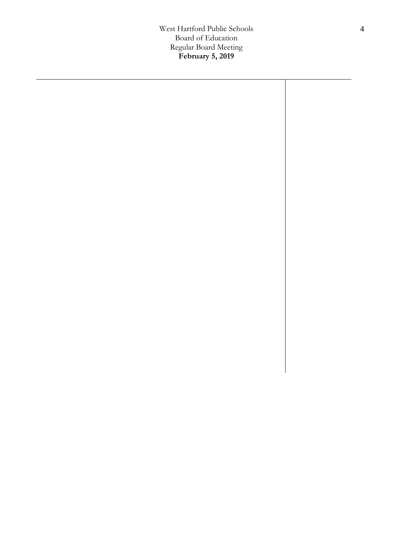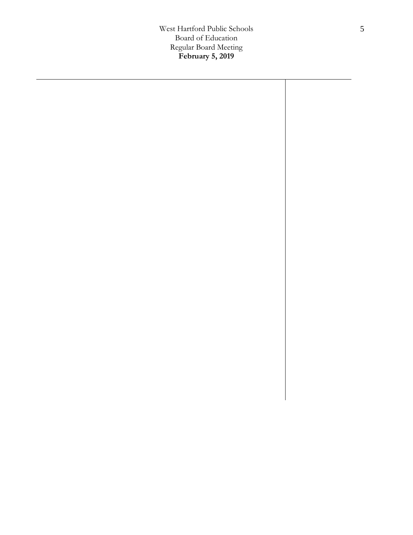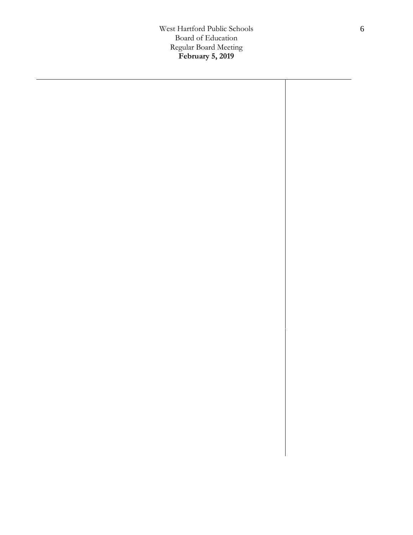